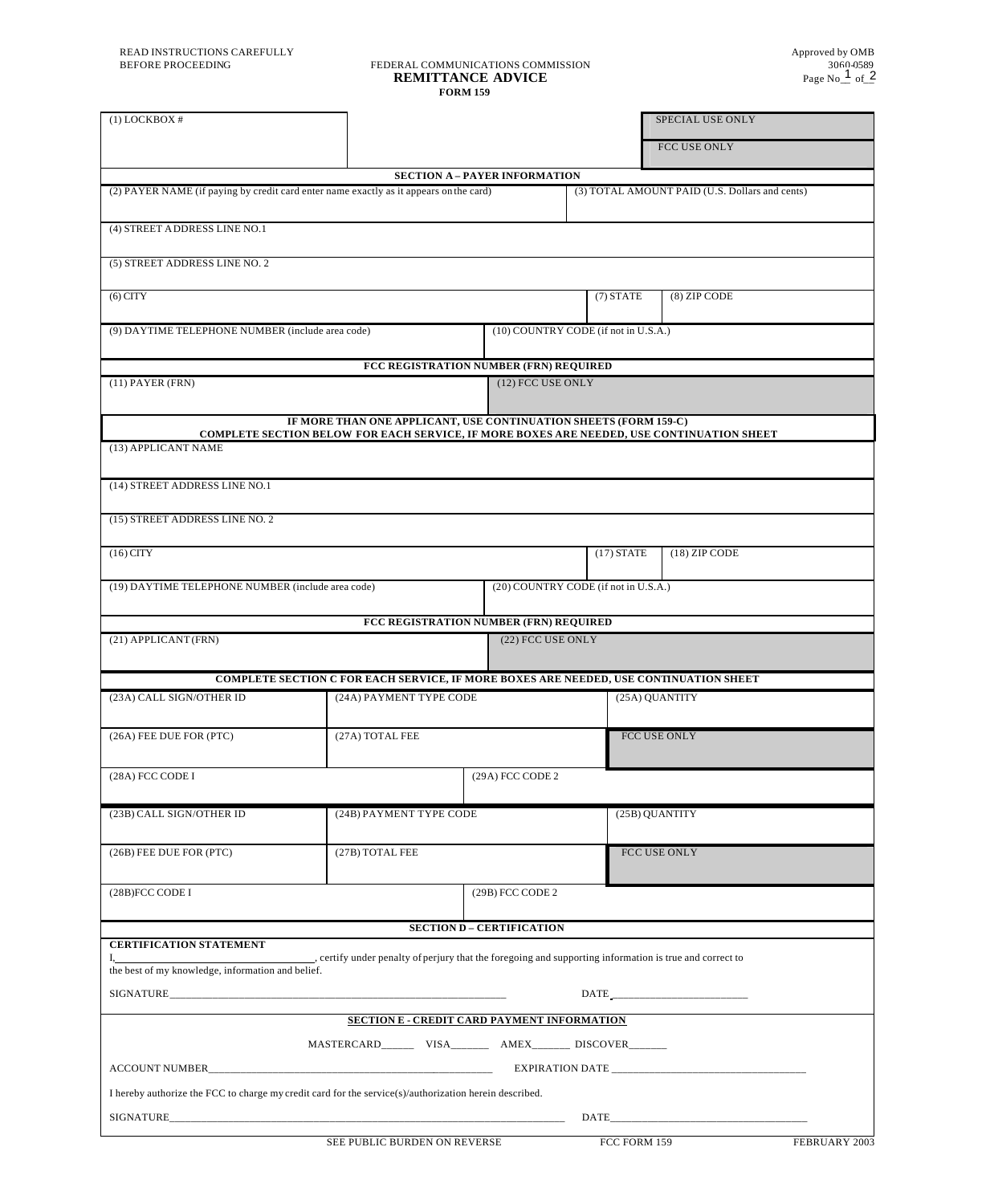# BEFORE PROCEEDING FEDERAL COMMUNICATIONS COMMISSION 3060-0589<br>The Remittance advice **FORM 159**

| $(1)$ LOCKBOX #                                                                                        |                                                                                                                                                               |                                                |                             |              | SPECIAL USE ONLY                  |               |  |  |
|--------------------------------------------------------------------------------------------------------|---------------------------------------------------------------------------------------------------------------------------------------------------------------|------------------------------------------------|-----------------------------|--------------|-----------------------------------|---------------|--|--|
|                                                                                                        |                                                                                                                                                               |                                                |                             |              | FCC USE ONLY                      |               |  |  |
|                                                                                                        |                                                                                                                                                               | <b>SECTION A - PAYER INFORMATION</b>           |                             |              |                                   |               |  |  |
| (2) PAYER NAME (if paying by credit card enter name exactly as it appears on the card)                 |                                                                                                                                                               | (3) TOTAL AMOUNT PAID (U.S. Dollars and cents) |                             |              |                                   |               |  |  |
| (4) STREET ADDRESS LINE NO.1                                                                           |                                                                                                                                                               |                                                |                             |              |                                   |               |  |  |
| (5) STREET ADDRESS LINE NO. 2                                                                          |                                                                                                                                                               |                                                |                             |              |                                   |               |  |  |
| $(6)$ CITY                                                                                             |                                                                                                                                                               |                                                | $(7)$ STATE<br>(8) ZIP CODE |              |                                   |               |  |  |
| (9) DAYTIME TELEPHONE NUMBER (include area code)                                                       |                                                                                                                                                               | (10) COUNTRY CODE (if not in U.S.A.)           |                             |              |                                   |               |  |  |
|                                                                                                        |                                                                                                                                                               | FCC REGISTRATION NUMBER (FRN) REQUIRED         |                             |              |                                   |               |  |  |
| $(11)$ PAYER (FRN)                                                                                     |                                                                                                                                                               |                                                | (12) FCC USE ONLY           |              |                                   |               |  |  |
|                                                                                                        | IF MORE THAN ONE APPLICANT, USE CONTINUATION SHEETS (FORM 159-C)<br>COMPLETE SECTION BELOW FOR EACH SERVICE, IF MORE BOXES ARE NEEDED, USE CONTINUATION SHEET |                                                |                             |              |                                   |               |  |  |
| (13) APPLICANT NAME                                                                                    |                                                                                                                                                               |                                                |                             |              |                                   |               |  |  |
| (14) STREET ADDRESS LINE NO.1                                                                          |                                                                                                                                                               |                                                |                             |              |                                   |               |  |  |
| (15) STREET ADDRESS LINE NO. 2                                                                         |                                                                                                                                                               |                                                |                             |              |                                   |               |  |  |
| $(16)$ CITY                                                                                            |                                                                                                                                                               |                                                |                             | $(17)$ STATE | $(18)$ ZIP CODE                   |               |  |  |
| (19) DAYTIME TELEPHONE NUMBER (include area code)                                                      |                                                                                                                                                               | (20) COUNTRY CODE (if not in U.S.A.)           |                             |              |                                   |               |  |  |
|                                                                                                        |                                                                                                                                                               | FCC REGISTRATION NUMBER (FRN) REQUIRED         |                             |              |                                   |               |  |  |
| (21) APPLICANT (FRN)                                                                                   |                                                                                                                                                               | (22) FCC USE ONLY                              |                             |              |                                   |               |  |  |
|                                                                                                        | COMPLETE SECTION C FOR EACH SERVICE, IF MORE BOXES ARE NEEDED, USE CONTINUATION SHEET                                                                         |                                                |                             |              |                                   |               |  |  |
| (23A) CALL SIGN/OTHER ID                                                                               |                                                                                                                                                               | (24A) PAYMENT TYPE CODE                        |                             |              | (25A) QUANTITY                    |               |  |  |
| (26A) FEE DUE FOR (PTC)                                                                                | (27A) TOTAL FEE                                                                                                                                               |                                                |                             |              | FCC USE ONLY                      |               |  |  |
| (28A) FCC CODE I                                                                                       |                                                                                                                                                               | (29A) FCC CODE 2                               |                             |              |                                   |               |  |  |
| (23B) CALL SIGN/OTHER ID                                                                               |                                                                                                                                                               | (24B) PAYMENT TYPE CODE                        |                             |              | (25B) QUANTITY                    |               |  |  |
| (26B) FEE DUE FOR (PTC)                                                                                | (27B) TOTAL FEE                                                                                                                                               |                                                |                             |              | FCC USE ONLY                      |               |  |  |
| (28B)FCC CODE I                                                                                        |                                                                                                                                                               | (29B) FCC CODE 2                               |                             |              |                                   |               |  |  |
|                                                                                                        |                                                                                                                                                               | <b>SECTION D - CERTIFICATION</b>               |                             |              |                                   |               |  |  |
| <b>CERTIFICATION STATEMENT</b>                                                                         |                                                                                                                                                               |                                                |                             |              |                                   |               |  |  |
| the best of my knowledge, information and belief.                                                      | , certify under penalty of perjury that the foregoing and supporting information is true and correct to                                                       |                                                |                             |              |                                   |               |  |  |
|                                                                                                        |                                                                                                                                                               |                                                |                             |              | DATE ____________________________ |               |  |  |
|                                                                                                        | SECTION E - CREDIT CARD PAYMENT INFORMATION                                                                                                                   |                                                |                             |              |                                   |               |  |  |
|                                                                                                        |                                                                                                                                                               |                                                |                             |              |                                   |               |  |  |
|                                                                                                        |                                                                                                                                                               |                                                |                             |              |                                   |               |  |  |
| I hereby authorize the FCC to charge my credit card for the service(s)/authorization herein described. |                                                                                                                                                               |                                                |                             |              |                                   |               |  |  |
|                                                                                                        |                                                                                                                                                               |                                                |                             |              |                                   |               |  |  |
|                                                                                                        | SEE PUBLIC BURDEN ON REVERSE                                                                                                                                  |                                                |                             | FCC FORM 159 |                                   | FEBRUARY 2003 |  |  |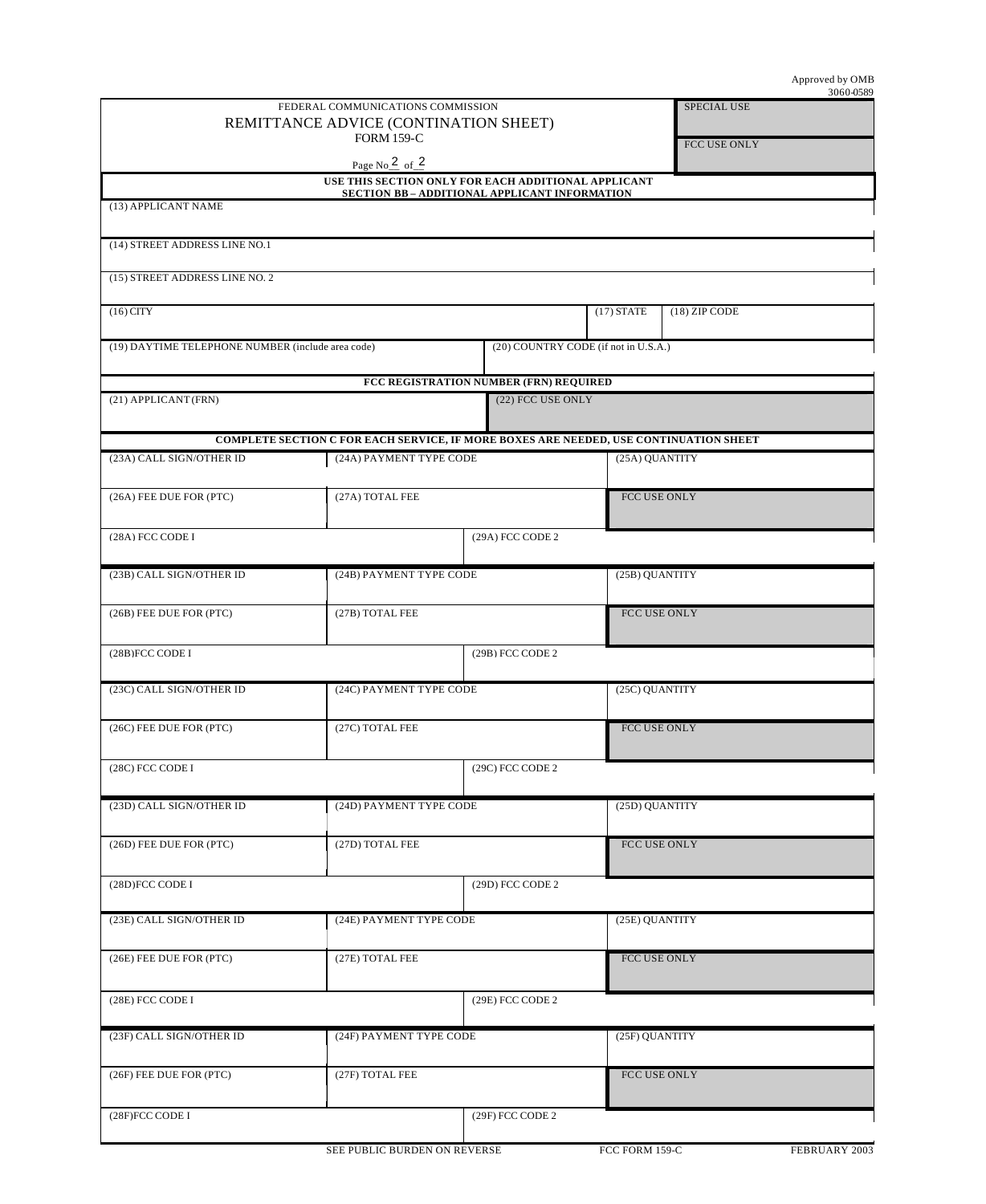|                                                   | FEDERAL COMMUNICATIONS COMMISSION                                                     |                                               |                | <b>SPECIAL USE</b> |  |
|---------------------------------------------------|---------------------------------------------------------------------------------------|-----------------------------------------------|----------------|--------------------|--|
| REMITTANCE ADVICE (CONTINATION SHEET)             |                                                                                       |                                               |                |                    |  |
| <b>FORM 159-C</b>                                 |                                                                                       |                                               |                | FCC USE ONLY       |  |
|                                                   | Page $No_2$ of $2$                                                                    |                                               |                |                    |  |
|                                                   | USE THIS SECTION ONLY FOR EACH ADDITIONAL APPLICANT                                   | SECTION BB - ADDITIONAL APPLICANT INFORMATION |                |                    |  |
| (13) APPLICANT NAME                               |                                                                                       |                                               |                |                    |  |
| (14) STREET ADDRESS LINE NO.1                     |                                                                                       |                                               |                |                    |  |
|                                                   |                                                                                       |                                               |                |                    |  |
| (15) STREET ADDRESS LINE NO. 2                    |                                                                                       |                                               |                |                    |  |
| $(16)$ CITY                                       |                                                                                       |                                               |                | $(18)$ ZIP CODE    |  |
| (19) DAYTIME TELEPHONE NUMBER (include area code) | (20) COUNTRY CODE (if not in U.S.A.)                                                  |                                               |                |                    |  |
|                                                   |                                                                                       |                                               |                |                    |  |
| (21) APPLICANT (FRN)                              | FCC REGISTRATION NUMBER (FRN) REQUIRED<br>(22) FCC USE ONLY                           |                                               |                |                    |  |
|                                                   |                                                                                       |                                               |                |                    |  |
|                                                   | COMPLETE SECTION C FOR EACH SERVICE, IF MORE BOXES ARE NEEDED, USE CONTINUATION SHEET |                                               |                |                    |  |
| (23A) CALL SIGN/OTHER ID                          | (24A) PAYMENT TYPE CODE                                                               |                                               | (25A) QUANTITY |                    |  |
| (26A) FEE DUE FOR (PTC)                           | (27A) TOTAL FEE                                                                       |                                               | FCC USE ONLY   |                    |  |
|                                                   |                                                                                       |                                               |                |                    |  |
| (28A) FCC CODE I                                  |                                                                                       | (29A) FCC CODE 2                              |                |                    |  |
| (23B) CALL SIGN/OTHER ID                          | (24B) PAYMENT TYPE CODE                                                               |                                               | (25B) QUANTITY |                    |  |
|                                                   |                                                                                       |                                               |                |                    |  |
| (26B) FEE DUE FOR (PTC)                           | (27B) TOTAL FEE                                                                       |                                               | FCC USE ONLY   |                    |  |
| (28B)FCC CODE I                                   |                                                                                       | (29B) FCC CODE 2                              |                |                    |  |
|                                                   |                                                                                       |                                               |                |                    |  |
| (23C) CALL SIGN/OTHER ID                          |                                                                                       | (24C) PAYMENT TYPE CODE                       |                | (25C) QUANTITY     |  |
| (26C) FEE DUE FOR (PTC)                           | (27C) TOTAL FEE                                                                       |                                               | FCC USE ONLY   |                    |  |
|                                                   |                                                                                       |                                               |                |                    |  |
| (28C) FCC CODE I                                  |                                                                                       | (29C) FCC CODE 2                              |                |                    |  |
| (23D) CALL SIGN/OTHER ID                          | (24D) PAYMENT TYPE CODE                                                               |                                               | (25D) QUANTITY |                    |  |
|                                                   |                                                                                       |                                               |                |                    |  |
| (26D) FEE DUE FOR (PTC)                           | (27D) TOTAL FEE                                                                       |                                               | FCC USE ONLY   |                    |  |
| (28D)FCC CODE I                                   |                                                                                       | (29D) FCC CODE 2                              |                |                    |  |
|                                                   |                                                                                       |                                               |                |                    |  |
| (23E) CALL SIGN/OTHER ID                          | (24E) PAYMENT TYPE CODE                                                               |                                               | (25E) QUANTITY |                    |  |
| (26E) FEE DUE FOR (PTC)                           | (27E) TOTAL FEE                                                                       |                                               |                | FCC USE ONLY       |  |
|                                                   |                                                                                       |                                               |                |                    |  |
| (28E) FCC CODE I                                  |                                                                                       | (29E) FCC CODE 2                              |                |                    |  |
| (23F) CALL SIGN/OTHER ID                          |                                                                                       | (24F) PAYMENT TYPE CODE                       |                | (25F) QUANTITY     |  |
|                                                   |                                                                                       |                                               |                |                    |  |
| (26F) FEE DUE FOR (PTC)                           | (27F) TOTAL FEE                                                                       |                                               |                | FCC USE ONLY       |  |
|                                                   |                                                                                       |                                               |                |                    |  |
| (28F)FCC CODE I                                   |                                                                                       | (29F) FCC CODE 2                              |                |                    |  |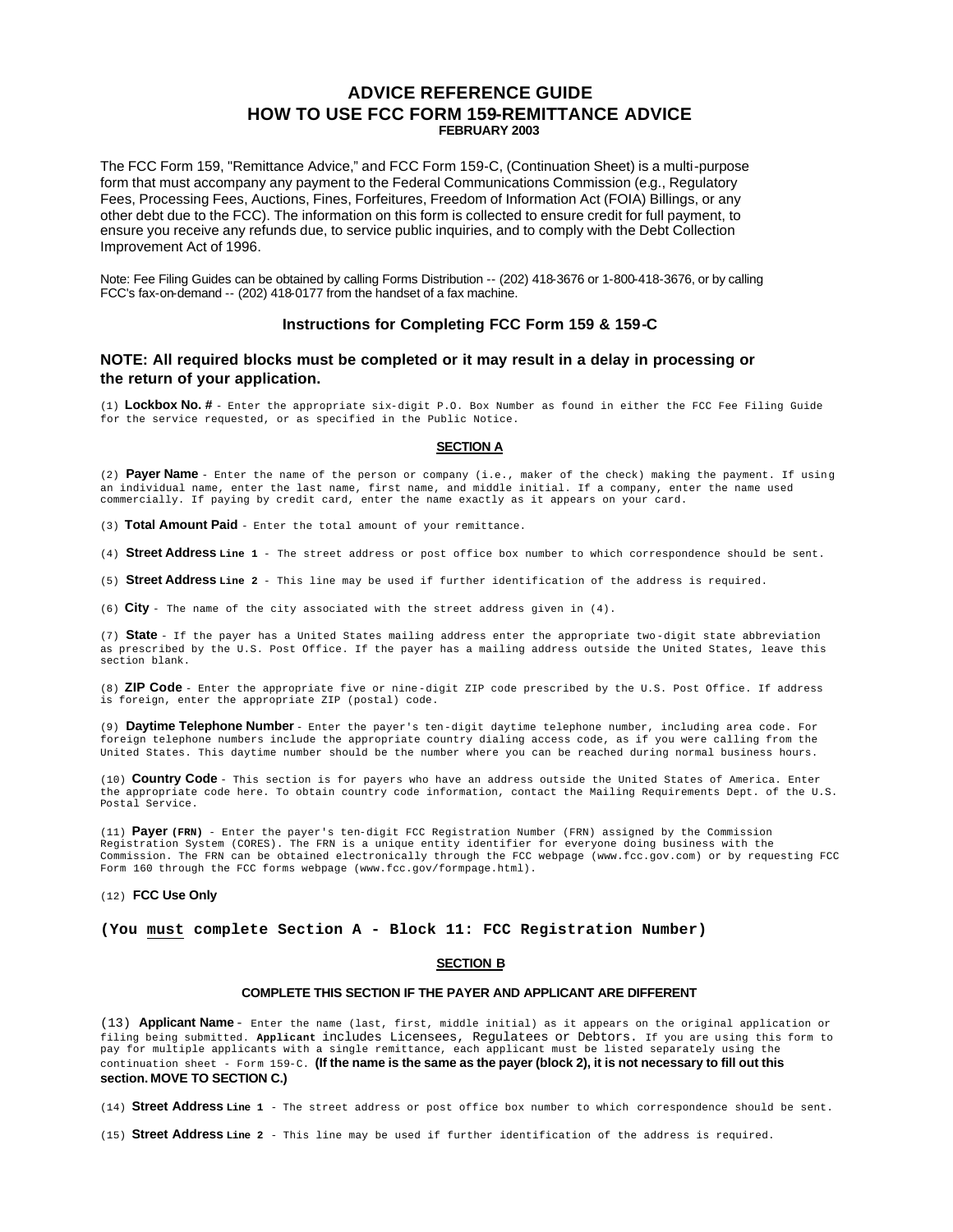# **ADVICE REFERENCE GUIDE HOW TO USE FCC FORM 159-REMITTANCE ADVICE FEBRUARY 2003**

The FCC Form 159, "Remittance Advice," and FCC Form 159-C, (Continuation Sheet) is a multi-purpose form that must accompany any payment to the Federal Communications Commission (e.g., Regulatory Fees, Processing Fees, Auctions, Fines, Forfeitures, Freedom of Information Act (FOIA) Billings, or any other debt due to the FCC). The information on this form is collected to ensure credit for full payment, to ensure you receive any refunds due, to service public inquiries, and to comply with the Debt Collection Improvement Act of 1996.

Note: Fee Filing Guides can be obtained by calling Forms Distribution -- (202) 418-3676 or 1-800-418-3676, or by calling FCC's fax-on-demand -- (202) 418-0177 from the handset of a fax machine.

# **Instructions for Completing FCC Form 159 & 159-C**

# **NOTE: All required blocks must be completed or it may result in a delay in processing or the return of your application.**

(1) **Lockbox No. #** - Enter the appropriate six-digit P.O. Box Number as found in either the FCC Fee Filing Guide for the service requested, or as specified in the Public Notice.

#### **SECTION A**

(2) **Payer Name** - Enter the name of the person or company (i.e., maker of the check) making the payment. If using an individual name, enter the last name, first name, and middle initial. If a company, enter the name used commercially. If paying by credit card, enter the name exactly as it appears on your card.

(3) **Total Amount Paid** - Enter the total amount of your remittance.

(4) **Street Address Line 1** - The street address or post office box number to which correspondence should be sent.

(5) **Street Address Line 2** - This line may be used if further identification of the address is required.

(6) **City** - The name of the city associated with the street address given in (4).

(7) **State** - If the payer has a United States mailing address enter the appropriate two-digit state abbreviation as prescribed by the U.S. Post Office. If the payer has a mailing address outside the United States, leave this section blank.

(8) **ZIP Code** - Enter the appropriate five or nine-digit ZIP code prescribed by the U.S. Post Office. If address is foreign, enter the appropriate ZIP (postal) code.

(9) **Daytime Telephone Number** - Enter the payer's ten-digit daytime telephone number, including area code. For foreign telephone numbers include the appropriate country dialing access code, as if you were calling from the United States. This daytime number should be the number where you can be reached during normal business hours.

(10) **Country Code** - This section is for payers who have an address outside the United States of America. Enter the appropriate code here. To obtain country code information, contact the Mailing Requirements Dept. of the U.S. Postal Service.

(11) **Payer (FRN)** - Enter the payer's ten-digit FCC Registration Number (FRN) assigned by the Commission Registration System (CORES). The FRN is a unique entity identifier for everyone doing business with the Commission. The FRN can be obtained electronically through the FCC webpage (www.fcc.gov.com) or by requesting FCC Form 160 through the FCC forms webpage (www.fcc.gov/formpage.html).

### (12) **FCC Use Only**

**(You must complete Section A - Block 11: FCC Registration Number)**

## **SECTION B**

#### **COMPLETE THIS SECTION IF THE PAYER AND APPLICANT ARE DIFFERENT**

(13) **Applicant Name** - Enter the name (last, first, middle initial) as it appears on the original application or filing being submitted. **Applicant** includes Licensees, Regulatees or Debtors. If you are using this form to pay for multiple applicants with a single remittance, each applicant must be listed separately using the continuation sheet - Form 159-C. **(If the name is the same as the payer (block 2), it is not necessary to fill out this section. MOVE TO SECTION C.)**

(14) **Street Address Line 1** - The street address or post office box number to which correspondence should be sent.

(15) **Street Address Line 2** - This line may be used if further identification of the address is required.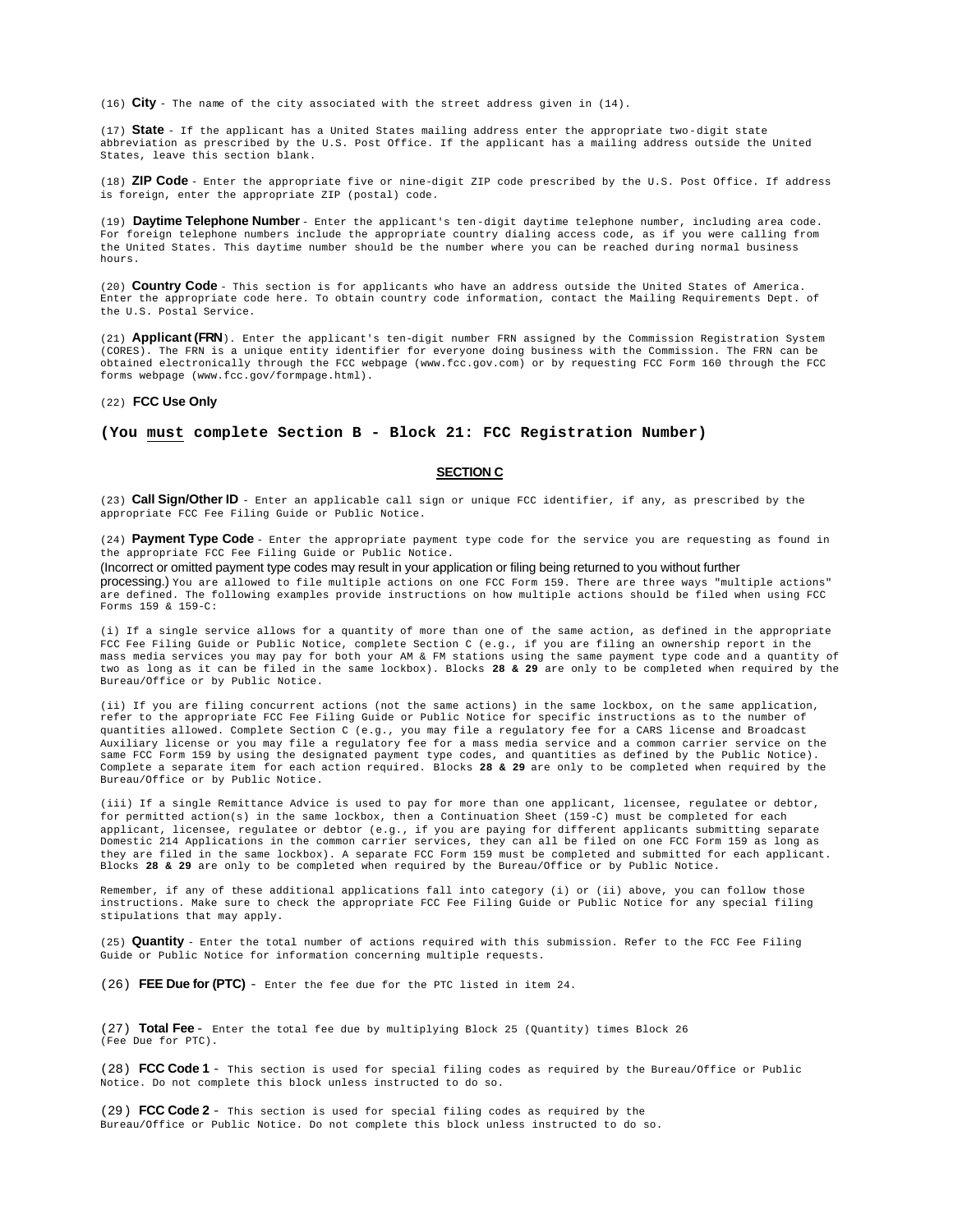(16) **City** - The name of the city associated with the street address given in (14).

(17) **State** - If the applicant has a United States mailing address enter the appropriate two-digit state abbreviation as prescribed by the U.S. Post Office. If the applicant has a mailing address outside the United States, leave this section blank.

(18) **ZIP Code** - Enter the appropriate five or nine-digit ZIP code prescribed by the U.S. Post Office. If address is foreign, enter the appropriate ZIP (postal) code.

(19) **Daytime Telephone Number** - Enter the applicant's ten-digit daytime telephone number, including area code. For foreign telephone numbers include the appropriate country dialing access code, as if you were calling from the United States. This daytime number should be the number where you can be reached during normal business hours.

(20) **Country Code** - This section is for applicants who have an address outside the United States of America. Enter the appropriate code here. To obtain country code information, contact the Mailing Requirements Dept. of the U.S. Postal Service.

(21) **Applicant (FRN**). Enter the applicant's ten-digit number FRN assigned by the Commission Registration System (CORES). The FRN is a unique entity identifier for everyone doing business with the Commission. The FRN can be obtained electronically through the FCC webpage (www.fcc.gov.com) or by requesting FCC Form 160 through the FCC forms webpage (www.fcc.gov/formpage.html).

#### (22) **FCC Use Only**

## **(You must complete Section B - Block 21: FCC Registration Number)**

# **SECTION C**

(23) **Call Sign/Other ID** - Enter an applicable call sign or unique FCC identifier, if any, as prescribed by the appropriate FCC Fee Filing Guide or Public Notice.

(24) **Payment Type Code** - Enter the appropriate payment type code for the service you are requesting as found in the appropriate FCC Fee Filing Guide or Public Notice.

(Incorrect or omitted payment type codes may result in your application or filing being returned to you without further processing.) You are allowed to file multiple actions on one FCC Form 159. There are three ways "multiple actions" are defined. The following examples provide instructions on how multiple actions should be filed when using FCC Forms 159 & 159-C:

(i) If a single service allows for a quantity of more than one of the same action, as defined in the appropriate FCC Fee Filing Guide or Public Notice, complete Section C (e.g., if you are filing an ownership report in the mass media services you may pay for both your AM & FM stations using the same payment type code and a quantity of two as long as it can be filed in the same lockbox). Blocks **28 & 29** are only to be completed when required by the Bureau/Office or by Public Notice.

(ii) If you are filing concurrent actions (not the same actions) in the same lockbox, on the same application, refer to the appropriate FCC Fee Filing Guide or Public Notice for specific instructions as to the number of quantities allowed. Complete Section C (e.g., you may file a regulatory fee for a CARS license and Broadcast Auxiliary license or you may file a regulatory fee for a mass media service and a common carrier service on the same FCC Form 159 by using the designated payment type codes, and quantities as defined by the Public Notice). Complete a separate item for each action required. Blocks **28 & 29** are only to be completed when required by the Bureau/Office or by Public Notice.

(iii) If a single Remittance Advice is used to pay for more than one applicant, licensee, regulatee or debtor, for permitted action(s) in the same lockbox, then a Continuation Sheet (159-C) must be completed for each applicant, licensee, regulatee or debtor (e.g., if you are paying for different applicants submitting separate Domestic 214 Applications in the common carrier services, they can all be filed on one FCC Form 159 as long as they are filed in the same lockbox). A separate FCC Form 159 must be completed and submitted for each applicant. Blocks **28 & 29** are only to be completed when required by the Bureau/Office or by Public Notice.

Remember, if any of these additional applications fall into category (i) or (ii) above, you can follow those instructions. Make sure to check the appropriate FCC Fee Filing Guide or Public Notice for any special filing stipulations that may apply.

(25) **Quantity** - Enter the total number of actions required with this submission. Refer to the FCC Fee Filing Guide or Public Notice for information concerning multiple requests.

(26) **FEE Due for (PTC)** - Enter the fee due for the PTC listed in item 24.

(27) **Total Fee** - Enter the total fee due by multiplying Block 25 (Quantity) times Block 26 (Fee Due for PTC).

(28) **FCC Code 1** - This section is used for special filing codes as required by the Bureau/Office or Public Notice. Do not complete this block unless instructed to do so.

(29) **FCC Code 2** - This section is used for special filing codes as required by the Bureau/Office or Public Notice. Do not complete this block unless instructed to do so.